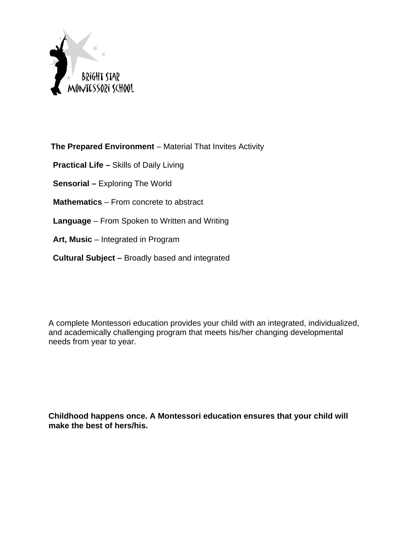

**The Prepared Environment** – Material That Invites Activity

 **Practical Life –** Skills of Daily Living

 **Sensorial –** Exploring The World

 **Mathematics** – From concrete to abstract

 **Language** – From Spoken to Written and Writing

**Art, Music** – Integrated in Program

 **Cultural Subject –** Broadly based and integrated

A complete Montessori education provides your child with an integrated, individualized, and academically challenging program that meets his/her changing developmental needs from year to year.

**Childhood happens once. A Montessori education ensures that your child will make the best of hers/his.**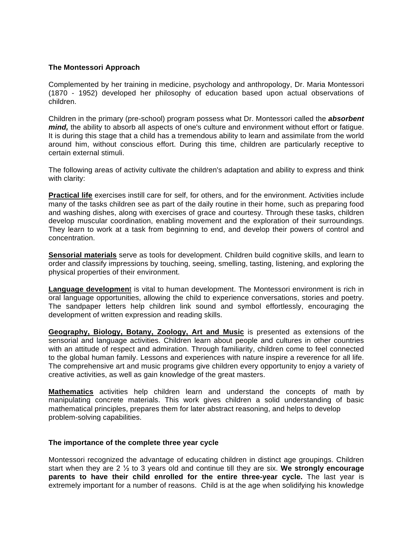#### **The Montessori Approach**

Complemented by her training in medicine, psychology and anthropology, Dr. Maria Montessori (1870 - 1952) developed her philosophy of education based upon actual observations of children.

Children in the primary (pre-school) program possess what Dr. Montessori called the *absorbent mind*, the ability to absorb all aspects of one's culture and environment without effort or fatigue. It is during this stage that a child has a tremendous ability to learn and assimilate from the world around him, without conscious effort. During this time, children are particularly receptive to certain external stimuli.

The following areas of activity cultivate the children's adaptation and ability to express and think with clarity:

**Practical life** exercises instill care for self, for others, and for the environment. Activities include many of the tasks children see as part of the daily routine in their home, such as preparing food and washing dishes, along with exercises of grace and courtesy. Through these tasks, children develop muscular coordination, enabling movement and the exploration of their surroundings. They learn to work at a task from beginning to end, and develop their powers of control and concentration.

**Sensorial materials** serve as tools for development. Children build cognitive skills, and learn to order and classify impressions by touching, seeing, smelling, tasting, listening, and exploring the physical properties of their environment.

**Language developmen**t is vital to human development. The Montessori environment is rich in oral language opportunities, allowing the child to experience conversations, stories and poetry. The sandpaper letters help children link sound and symbol effortlessly, encouraging the development of written expression and reading skills.

**Geography, Biology, Botany, Zoology, Art and Music** is presented as extensions of the sensorial and language activities. Children learn about people and cultures in other countries with an attitude of respect and admiration. Through familiarity, children come to feel connected to the global human family. Lessons and experiences with nature inspire a reverence for all life. The comprehensive art and music programs give children every opportunity to enjoy a variety of creative activities, as well as gain knowledge of the great masters.

**Mathematics** activities help children learn and understand the concepts of math by manipulating concrete materials. This work gives children a solid understanding of basic mathematical principles, prepares them for later abstract reasoning, and helps to develop problem-solving capabilities.

#### **The importance of the complete three year cycle**

Montessori recognized the advantage of educating children in distinct age groupings. Children start when they are 2  $\frac{1}{2}$  to 3 years old and continue till they are six. We strongly encourage **parents to have their child enrolled for the entire three-year cycle.** The last year is extremely important for a number of reasons. Child is at the age when solidifying his knowledge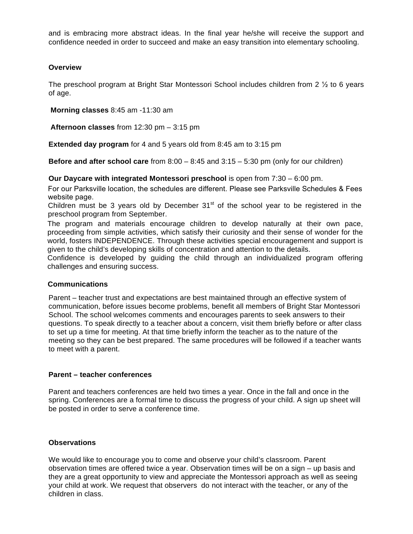and is embracing more abstract ideas. In the final year he/she will receive the support and confidence needed in order to succeed and make an easy transition into elementary schooling.

#### **Overview**

The preschool program at Bright Star Montessori School includes children from 2  $\frac{1}{2}$  to 6 years of age.

**Morning classes** 8:45 am -11:30 am

**Afternoon classes** from 12:30 pm – 3:15 pm

**Extended day program** for 4 and 5 years old from 8:45 am to 3:15 pm

**Before and after school care** from 8:00 – 8:45 and 3:15 – 5:30 pm (only for our children)

### **Our Daycare with integrated Montessori preschool** is open from 7:30 – 6:00 pm.

For our Parksville location, the schedules are different. Please see Parksville Schedules & Fees website page.

Children must be 3 years old by December  $31<sup>st</sup>$  of the school year to be registered in the preschool program from September.

The program and materials encourage children to develop naturally at their own pace, proceeding from simple activities, which satisfy their curiosity and their sense of wonder for the world, fosters INDEPENDENCE. Through these activities special encouragement and support is given to the child's developing skills of concentration and attention to the details.

Confidence is developed by guiding the child through an individualized program offering challenges and ensuring success.

#### **Communications**

Parent – teacher trust and expectations are best maintained through an effective system of communication, before issues become problems, benefit all members of Bright Star Montessori School. The school welcomes comments and encourages parents to seek answers to their questions. To speak directly to a teacher about a concern, visit them briefly before or after class to set up a time for meeting. At that time briefly inform the teacher as to the nature of the meeting so they can be best prepared. The same procedures will be followed if a teacher wants to meet with a parent.

### **Parent – teacher conferences**

Parent and teachers conferences are held two times a year. Once in the fall and once in the spring. Conferences are a formal time to discuss the progress of your child. A sign up sheet will be posted in order to serve a conference time.

#### **Observations**

We would like to encourage you to come and observe your child's classroom. Parent observation times are offered twice a year. Observation times will be on a sign – up basis and they are a great opportunity to view and appreciate the Montessori approach as well as seeing your child at work. We request that observers do not interact with the teacher, or any of the children in class.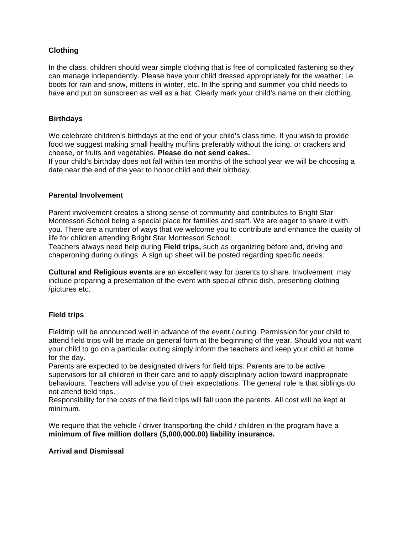# **Clothing**

In the class, children should wear simple clothing that is free of complicated fastening so they can manage independently. Please have your child dressed appropriately for the weather; i.e. boots for rain and snow, mittens in winter, etc. In the spring and summer you child needs to have and put on sunscreen as well as a hat. Clearly mark your child's name on their clothing.

### **Birthdays**

We celebrate children's birthdays at the end of your child's class time. If you wish to provide food we suggest making small healthy muffins preferably without the icing, or crackers and cheese, or fruits and vegetables. **Please do not send cakes.** 

If your child's birthday does not fall within ten months of the school year we will be choosing a date near the end of the year to honor child and their birthday.

#### **Parental Involvement**

Parent involvement creates a strong sense of community and contributes to Bright Star Montessori School being a special place for families and staff. We are eager to share it with you. There are a number of ways that we welcome you to contribute and enhance the quality of life for children attending Bright Star Montessori School.

Teachers always need help during **Field trips,** such as organizing before and, driving and chaperoning during outings. A sign up sheet will be posted regarding specific needs.

**Cultural and Religious events** are an excellent way for parents to share. Involvement may include preparing a presentation of the event with special ethnic dish, presenting clothing /pictures etc.

## **Field trips**

Fieldtrip will be announced well in advance of the event / outing. Permission for your child to attend field trips will be made on general form at the beginning of the year. Should you not want your child to go on a particular outing simply inform the teachers and keep your child at home for the day.

Parents are expected to be designated drivers for field trips. Parents are to be active supervisors for all children in their care and to apply disciplinary action toward inappropriate behaviours. Teachers will advise you of their expectations. The general rule is that siblings do not attend field trips.

Responsibility for the costs of the field trips will fall upon the parents. All cost will be kept at minimum.

We require that the vehicle / driver transporting the child / children in the program have a **minimum of five million dollars (5,000,000.00) liability insurance.** 

#### **Arrival and Dismissal**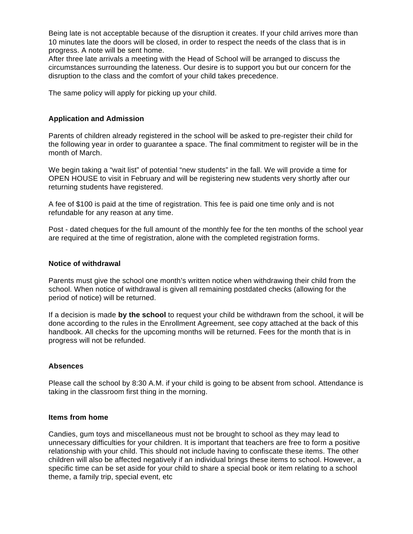Being late is not acceptable because of the disruption it creates. If your child arrives more than 10 minutes late the doors will be closed, in order to respect the needs of the class that is in progress. A note will be sent home.

After three late arrivals a meeting with the Head of School will be arranged to discuss the circumstances surrounding the lateness. Our desire is to support you but our concern for the disruption to the class and the comfort of your child takes precedence.

The same policy will apply for picking up your child.

#### **Application and Admission**

Parents of children already registered in the school will be asked to pre-register their child for the following year in order to guarantee a space. The final commitment to register will be in the month of March.

We begin taking a "wait list" of potential "new students" in the fall. We will provide a time for OPEN HOUSE to visit in February and will be registering new students very shortly after our returning students have registered.

A fee of \$100 is paid at the time of registration. This fee is paid one time only and is not refundable for any reason at any time.

Post - dated cheques for the full amount of the monthly fee for the ten months of the school year are required at the time of registration, alone with the completed registration forms.

#### **Notice of withdrawal**

Parents must give the school one month's written notice when withdrawing their child from the school. When notice of withdrawal is given all remaining postdated checks (allowing for the period of notice) will be returned.

If a decision is made **by the school** to request your child be withdrawn from the school, it will be done according to the rules in the Enrollment Agreement, see copy attached at the back of this handbook. All checks for the upcoming months will be returned. Fees for the month that is in progress will not be refunded.

#### **Absences**

Please call the school by 8:30 A.M. if your child is going to be absent from school. Attendance is taking in the classroom first thing in the morning.

#### **Items from home**

Candies, gum toys and miscellaneous must not be brought to school as they may lead to unnecessary difficulties for your children. It is important that teachers are free to form a positive relationship with your child. This should not include having to confiscate these items. The other children will also be affected negatively if an individual brings these items to school. However, a specific time can be set aside for your child to share a special book or item relating to a school theme, a family trip, special event, etc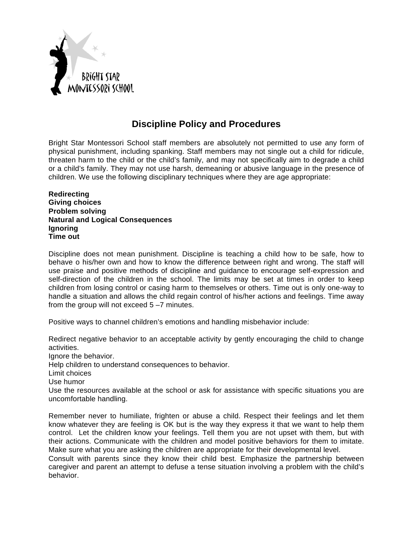

# **Discipline Policy and Procedures**

Bright Star Montessori School staff members are absolutely not permitted to use any form of physical punishment, including spanking. Staff members may not single out a child for ridicule, threaten harm to the child or the child's family, and may not specifically aim to degrade a child or a child's family. They may not use harsh, demeaning or abusive language in the presence of children. We use the following disciplinary techniques where they are age appropriate:

**Redirecting Giving choices Problem solving Natural and Logical Consequences Ignoring Time out** 

Discipline does not mean punishment. Discipline is teaching a child how to be safe, how to behave o his/her own and how to know the difference between right and wrong. The staff will use praise and positive methods of discipline and guidance to encourage self-expression and self-direction of the children in the school. The limits may be set at times in order to keep children from losing control or casing harm to themselves or others. Time out is only one-way to handle a situation and allows the child regain control of his/her actions and feelings. Time away from the group will not exceed 5 –7 minutes.

Positive ways to channel children's emotions and handling misbehavior include:

Redirect negative behavior to an acceptable activity by gently encouraging the child to change activities.

Ignore the behavior.

Help children to understand consequences to behavior.

Limit choices

Use humor

Use the resources available at the school or ask for assistance with specific situations you are uncomfortable handling.

Remember never to humiliate, frighten or abuse a child. Respect their feelings and let them know whatever they are feeling is OK but is the way they express it that we want to help them control. Let the children know your feelings. Tell them you are not upset with them, but with their actions. Communicate with the children and model positive behaviors for them to imitate. Make sure what you are asking the children are appropriate for their developmental level.

Consult with parents since they know their child best. Emphasize the partnership between caregiver and parent an attempt to defuse a tense situation involving a problem with the child's behavior.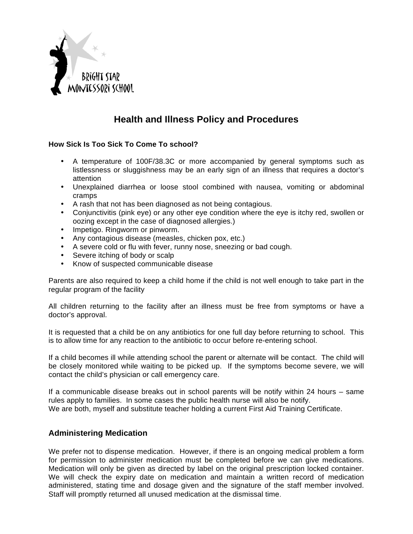

# **Health and Illness Policy and Procedures**

## **How Sick Is Too Sick To Come To school?**

- A temperature of 100F/38.3C or more accompanied by general symptoms such as listlessness or sluggishness may be an early sign of an illness that requires a doctor's attention
- Unexplained diarrhea or loose stool combined with nausea, vomiting or abdominal cramps
- A rash that not has been diagnosed as not being contagious.
- Conjunctivitis (pink eye) or any other eye condition where the eye is itchy red, swollen or oozing except in the case of diagnosed allergies.)
- Impetigo. Ringworm or pinworm.
- Any contagious disease (measles, chicken pox, etc.)
- A severe cold or flu with fever, runny nose, sneezing or bad cough.
- Severe itching of body or scalp
- Know of suspected communicable disease

Parents are also required to keep a child home if the child is not well enough to take part in the regular program of the facility

All children returning to the facility after an illness must be free from symptoms or have a doctor's approval.

It is requested that a child be on any antibiotics for one full day before returning to school. This is to allow time for any reaction to the antibiotic to occur before re-entering school.

If a child becomes ill while attending school the parent or alternate will be contact. The child will be closely monitored while waiting to be picked up. If the symptoms become severe, we will contact the child's physician or call emergency care.

If a communicable disease breaks out in school parents will be notify within 24 hours – same rules apply to families. In some cases the public health nurse will also be notify. We are both, myself and substitute teacher holding a current First Aid Training Certificate.

# **Administering Medication**

We prefer not to dispense medication. However, if there is an ongoing medical problem a form for permission to administer medication must be completed before we can give medications. Medication will only be given as directed by label on the original prescription locked container. We will check the expiry date on medication and maintain a written record of medication administered, stating time and dosage given and the signature of the staff member involved. Staff will promptly returned all unused medication at the dismissal time.